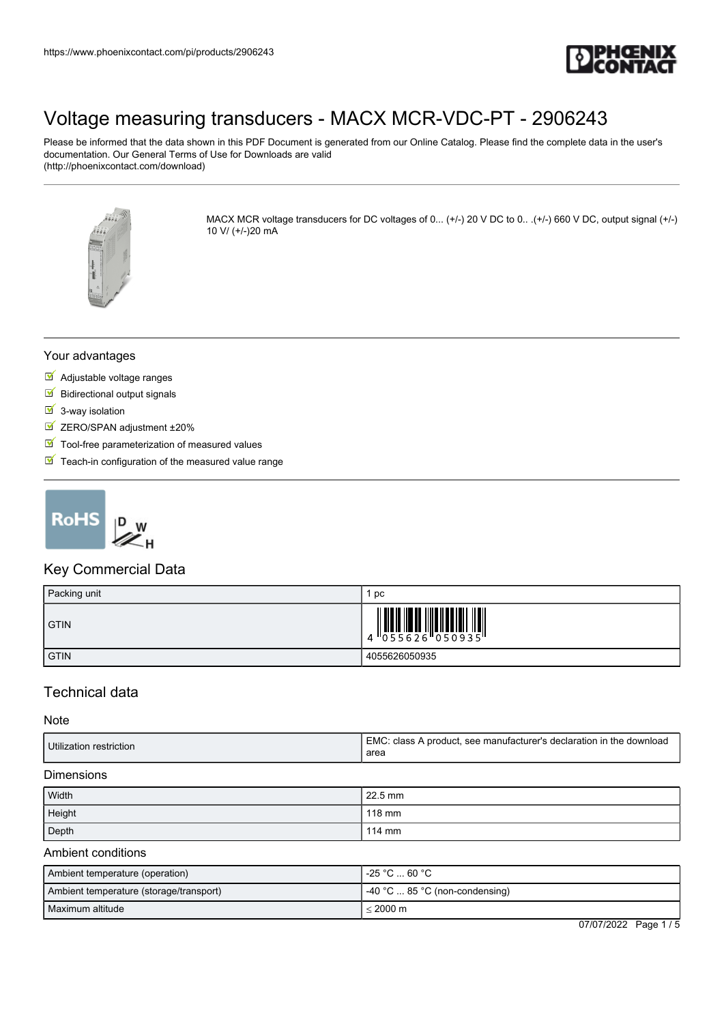

Please be informed that the data shown in this PDF Document is generated from our Online Catalog. Please find the complete data in the user's documentation. Our General Terms of Use for Downloads are valid (http://phoenixcontact.com/download)



MACX MCR voltage transducers for DC voltages of 0... (+/-) 20 V DC to 0... (+/-) 660 V DC, output signal (+/-) 10 V/ (+/-)20 mA

#### Your advantages

- Adjustable voltage ranges
- $\blacksquare$  Bidirectional output signals
- $\overline{\phantom{a}}$  3-way isolation
- **ZERO/SPAN adjustment ±20%**
- $\blacksquare$  Tool-free parameterization of measured values
- $\triangleright$  Teach-in configuration of the measured value range



### Key Commercial Data

| Packing unit | pc              |
|--------------|-----------------|
| <b>GTIN</b>  | 4 055626 050935 |
| <b>GTIN</b>  | 4055626050935   |

## Technical data

#### Note

| Utilization restriction | [EMC: class A product, see manufacturer's declaration in the download<br>area |
|-------------------------|-------------------------------------------------------------------------------|
|-------------------------|-------------------------------------------------------------------------------|

#### **Dimensions**

| Width  | $22.5 \text{ mm}$ |
|--------|-------------------|
| Height | 118 mm            |
| Depth  | 114 mm            |

#### Ambient conditions

| Ambient temperature (operation)         | -25 °C  60 °C                           |
|-----------------------------------------|-----------------------------------------|
| Ambient temperature (storage/transport) | $-40$ °C $\dots$ 85 °C (non-condensing) |
| l Maximum altitude                      | $< 2000 \text{ m}$                      |

07/07/2022 Page 1 / 5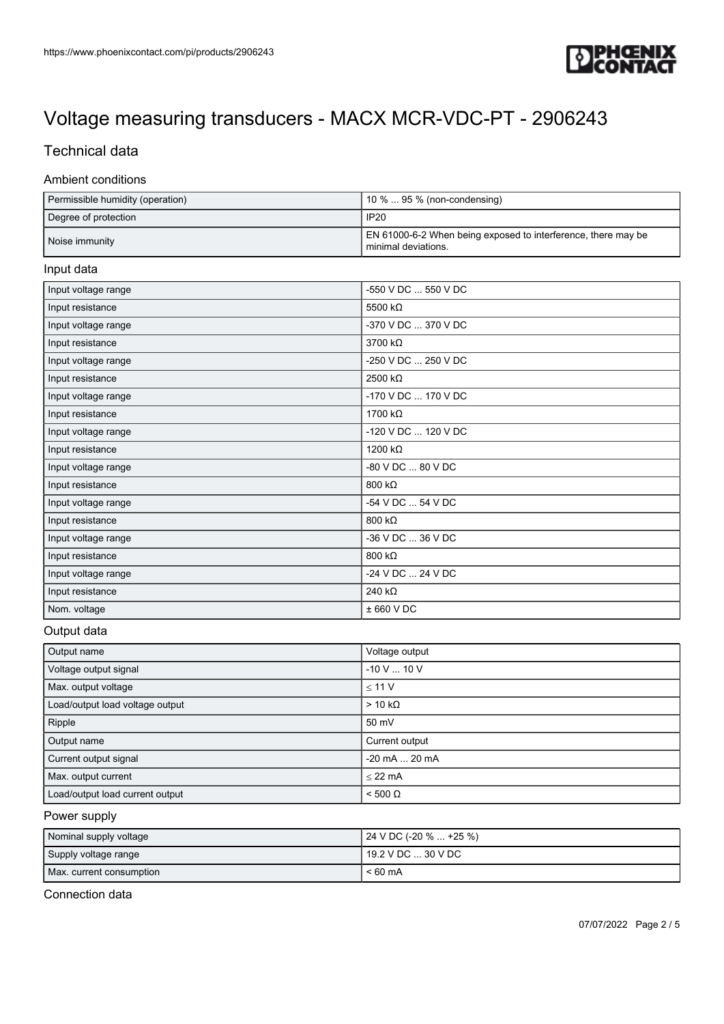

## Technical data

#### Ambient conditions

| Permissible humidity (operation) | $10\%$ 95 % (non-condensing)                                                         |
|----------------------------------|--------------------------------------------------------------------------------------|
| Degree of protection             | IP <sub>20</sub>                                                                     |
| Noise immunity                   | EN 61000-6-2 When being exposed to interference, there may be<br>minimal deviations. |

#### Input data

| Input voltage range | -550 V DC  550 V DC |
|---------------------|---------------------|
| Input resistance    | 5500 kΩ             |
| Input voltage range | -370 V DC  370 V DC |
| Input resistance    | 3700 kΩ             |
| Input voltage range | -250 V DC  250 V DC |
| Input resistance    | 2500 kΩ             |
| Input voltage range | -170 V DC  170 V DC |
| Input resistance    | 1700 kΩ             |
| Input voltage range | -120 V DC  120 V DC |
| Input resistance    | 1200 kΩ             |
| Input voltage range | -80 V DC  80 V DC   |
| Input resistance    | 800 k $\Omega$      |
| Input voltage range | -54 V DC  54 V DC   |
| Input resistance    | 800 kΩ              |
| Input voltage range | -36 V DC  36 V DC   |
| Input resistance    | 800 kΩ              |
| Input voltage range | -24 V DC  24 V DC   |
| Input resistance    | 240 k $\Omega$      |
| Nom. voltage        | ± 660 VDC           |
|                     |                     |

#### Output data

| Output name                     | Voltage output  |
|---------------------------------|-----------------|
| Voltage output signal           | $-10$ V $$ 10 V |
| Max. output voltage             | < 11 V          |
| Load/output load voltage output | $> 10 k\Omega$  |
| Ripple                          | 50 mV           |
| Output name                     | Current output  |
| Current output signal           | -20 mA  20 mA   |
| Max. output current             | $<$ 22 mA       |
| Load/output load current output | $< 500 \Omega$  |

#### Power supply

| Nominal supply voltage   | 24 V DC (-20 %  +25 %) |
|--------------------------|------------------------|
| Supply voltage range     | 19.2 V DC  30 V DC     |
| Max. current consumption | $< 60 \text{ mA}$      |

Connection data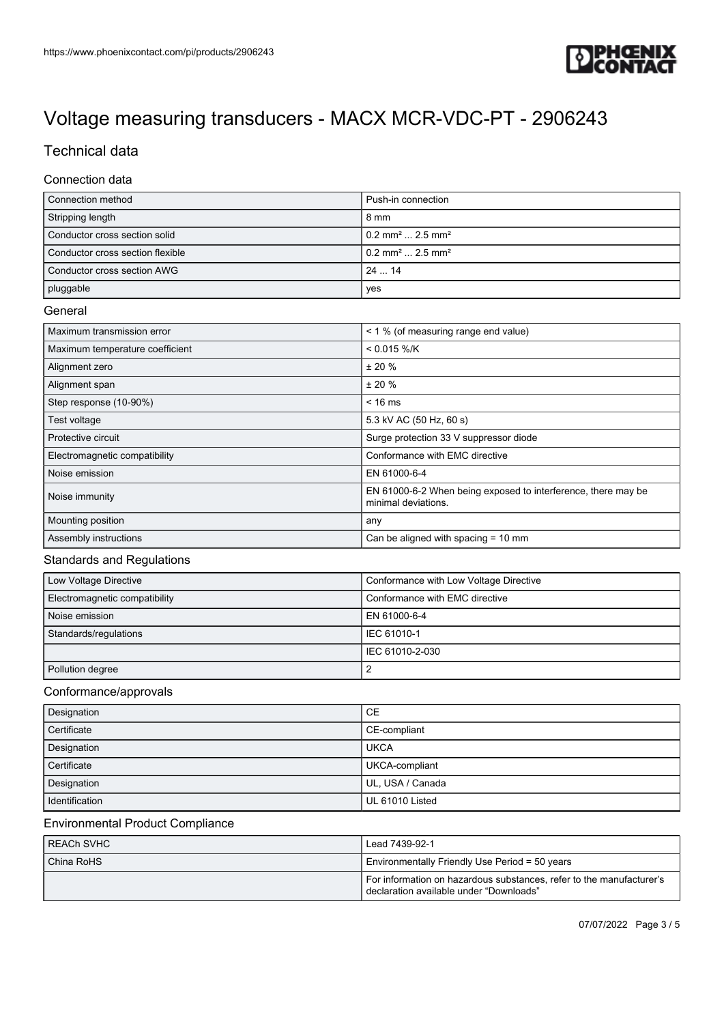

## Technical data

### Connection data

| Connection method                | Push-in connection                         |
|----------------------------------|--------------------------------------------|
| Stripping length                 | 8 mm                                       |
| Conductor cross section solid    | $10.2$ mm <sup>2</sup> 2.5 mm <sup>2</sup> |
| Conductor cross section flexible | $10.2$ mm <sup>2</sup> 2.5 mm <sup>2</sup> |
| Conductor cross section AWG      | $24$ 14                                    |
| pluggable                        | yes                                        |

#### **General**

| Maximum transmission error      | < 1 % (of measuring range end value)                                                 |
|---------------------------------|--------------------------------------------------------------------------------------|
| Maximum temperature coefficient | $< 0.015 %$ /K                                                                       |
| Alignment zero                  | ± 20%                                                                                |
| Alignment span                  | ± 20%                                                                                |
| Step response (10-90%)          | $< 16 \text{ ms}$                                                                    |
| Test voltage                    | 5.3 kV AC (50 Hz, 60 s)                                                              |
| Protective circuit              | Surge protection 33 V suppressor diode                                               |
| Electromagnetic compatibility   | Conformance with EMC directive                                                       |
| Noise emission                  | EN 61000-6-4                                                                         |
| Noise immunity                  | EN 61000-6-2 When being exposed to interference, there may be<br>minimal deviations. |
| Mounting position               | any                                                                                  |
| Assembly instructions           | Can be aligned with spacing $= 10$ mm                                                |

#### Standards and Regulations

| Low Voltage Directive         | Conformance with Low Voltage Directive |
|-------------------------------|----------------------------------------|
| Electromagnetic compatibility | Conformance with EMC directive         |
| Noise emission                | LEN 61000-6-4                          |
| Standards/regulations         | IEC 61010-1                            |
|                               | IEC 61010-2-030                        |
| Pollution degree              |                                        |

#### Conformance/approvals

| Designation    | CE               |
|----------------|------------------|
| Certificate    | CE-compliant     |
| Designation    | <b>UKCA</b>      |
| Certificate    | UKCA-compliant   |
| Designation    | UL, USA / Canada |
| Identification | UL 61010 Listed  |

#### Environmental Product Compliance

| l REACh SVHC | Lead 7439-92-1                                                                                                  |  |  |
|--------------|-----------------------------------------------------------------------------------------------------------------|--|--|
| China RoHS   | Environmentally Friendly Use Period = 50 years                                                                  |  |  |
|              | For information on hazardous substances, refer to the manufacturer's<br>declaration available under "Downloads" |  |  |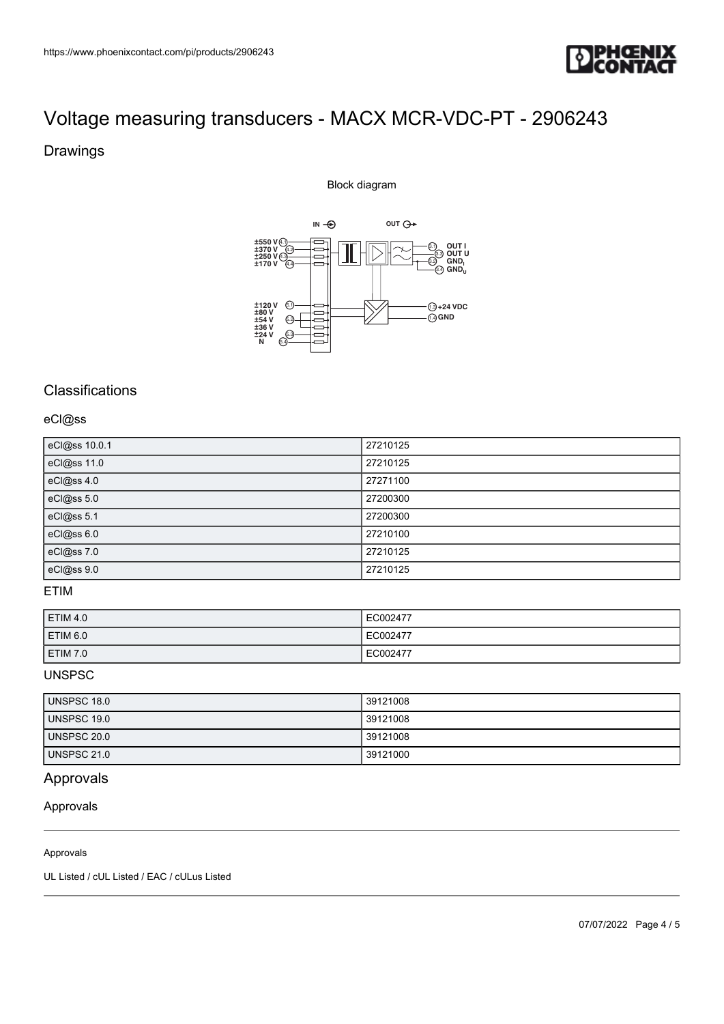

### Drawings

Block diagram



## **Classifications**

#### eCl@ss

| eCl@ss 10.0.1 | 27210125 |
|---------------|----------|
| eCl@ss 11.0   | 27210125 |
| eCl@ss 4.0    | 27271100 |
| eCl@ss 5.0    | 27200300 |
| eCl@ss 5.1    | 27200300 |
| eCl@ss 6.0    | 27210100 |
| eCl@ss 7.0    | 27210125 |
| eCl@ss 9.0    | 27210125 |

### ETIM

| <b>ETIM 4.0</b> | EC002477 |
|-----------------|----------|
| ETIM 6.0        | EC002477 |
| ETIM 7.0        | EC002477 |

## UNSPSC

| UNSPSC 18.0        | 39121008 |
|--------------------|----------|
| UNSPSC 19.0        | 39121008 |
| UNSPSC 20.0        | 39121008 |
| <b>UNSPSC 21.0</b> | 39121000 |

## Approvals

## Approvals

#### Approvals

UL Listed / cUL Listed / EAC / cULus Listed